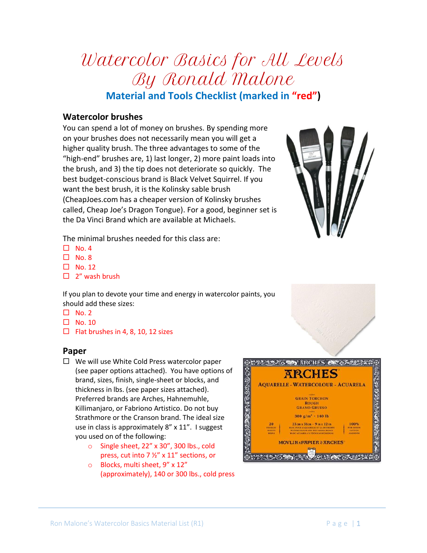By Ronald Malone **Material and Tools Checklist (marked in "red") Watercolor brushes**

Watercolor Basics for All Levels

You can spend a lot of money on brushes. By spending more on your brushes does not necessarily mean you will get a higher quality brush. The three advantages to some of the "high-end" brushes are, 1) last longer, 2) more paint loads into the brush, and 3) the tip does not deteriorate so quickly. The best budget-conscious brand is Black Velvet Squirrel. If you want the best brush, it is the Kolinsky sable brush (CheapJoes.com has a cheaper version of Kolinsky brushes called, Cheap Joe's Dragon Tongue). For a good, beginner set is the Da Vinci Brand which are available at Michaels.

The minimal brushes needed for this class are:

- $\Box$  No. 4
- $\Box$  No. 8
- $\Box$  No. 12
- $\Box$  2" wash brush

If you plan to devote your time and energy in watercolor paints, you should add these sizes:

- $\Box$  No. 2
- $\Box$  No. 10
- $\Box$  Flat brushes in 4, 8, 10, 12 sizes

## **Paper**

- $\Box$  We will use White Cold Press watercolor paper (see paper options attached). You have options of brand, sizes, finish, single-sheet or blocks, and thickness in lbs. (see paper sizes attached). Preferred brands are Arches, Hahnemuhle, Killimanjaro, or Fabriono Artistico. Do not buy Strathmore or the Cranson brand. The ideal size use in class is approximately 8" x 11". I suggest you used on of the following:
	- o Single sheet, 22" x 30", 300 lbs., cold press, cut into 7 ½" x 11" sections, or
	- o Blocks, multi sheet, 9" x 12" (approximately), 140 or 300 lbs., cold press



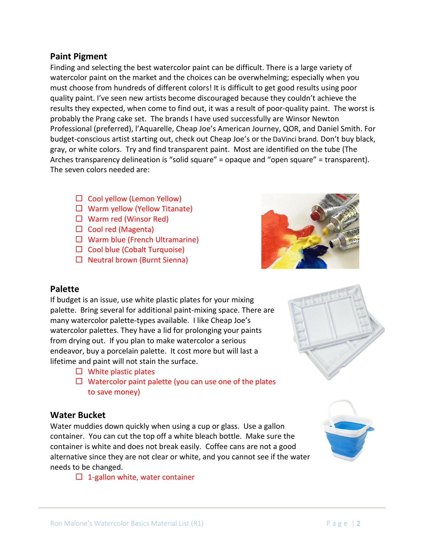#### **Paint Pigment**

Finding and selecting the best watercolor paint can be difficult. There is a large variety of watercolor paint on the market and the choices can be overwhelming; especially when you must choose from hundreds of different colors! It is difficult to get good results using poor quality paint. I've seen new artists become discouraged because they couldn't achieve the results they expected, when come to find out, it was a result of poor-quality paint. The worst is probably the Prang cake set. The brands I have used successfully are Winsor Newton Professional (preferred), l'Aquarelle, Cheap Joe's American Journey, QOR, and Daniel Smith. For budget-conscious artist starting out, check out Cheap Joe's or the DaVinci brand. Don't buy black, gray, or white colors. Try and find transparent paint. Most are identified on the tube (The Arches transparency delineation is "solid square" = opaque and "open square" = transparent). The seven colors needed are:

- $\Box$  Cool yellow (Lemon Yellow)
- $\Box$  Warm yellow (Yellow Titanate)
- $\Box$  Warm red (Winsor Red)
- $\Box$  Cool red (Magenta)
- $\Box$  Warm blue (French Ultramarine)
- $\Box$  Cool blue (Cobalt Turquoise)
- $\Box$  Neutral brown (Burnt Sienna)



## **Palette**

If budget is an issue, use white plastic plates for your mixing palette. Bring several for additional paint-mixing space. There are many watercolor palette-types available. I like Cheap Joe's watercolor palettes. They have a lid for prolonging your paints from drying out. If you plan to make watercolor a serious endeavor, buy a porcelain palette. It cost more but will last a lifetime and paint will not stain the surface.

- $\Box$  White plastic plates
- $\Box$  Watercolor paint palette (you can use one of the plates to save money)

## **Water Bucket**

Water muddies down quickly when using a cup or glass. Use a gallon container. You can cut the top off a white bleach bottle. Make sure the container is white and does not break easily. Coffee cans are not a good alternative since they are not clear or white, and you cannot see if the water needs to be changed.

 $\Box$  1-gallon white, water container